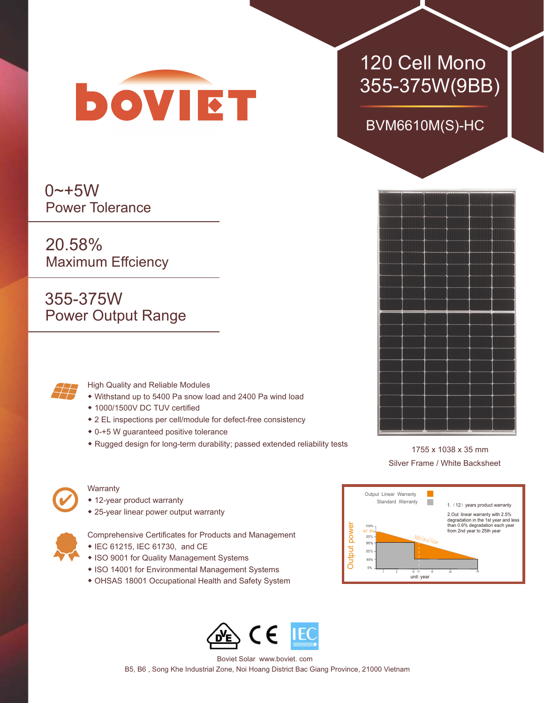

### $0 - +5W$ Power Tolerance

20.58% Maximum Effciency

355-375W Power Output Range



#### High Quality and Reliable Modules

- ◆ Withstand up to 5400 Pa snow load and 2400 Pa wind load
- ◆ 1000/1500V DC TUV certified
- ◆ 2 EL inspections per cell/module for defect-free consistency
- ◆ 0-+5 W guaranteed positive tolerance
- ◆ Rugged design for long-term durability; passed extended reliability tests



#### **Warranty**

- ◆ 12-year product warranty
- ◆ 25-year linear power output warranty



- Comprehensive Certificates for Products and Management
- ◆ IEC 61215, IEC 61730, and CE
- ◆ ISO 9001 for Quality Management Systems
- ◆ ISO 14001 for Environmental Management Systems
- ◆ OHSAS 18001 Occupational Health and Safety System

# 355-375W(9BB) BVM6610M(S)-HC

120 Cell Mono





Boviet Solar www.boviet. com B5, B6 , Song Khe Industrial Zone, Noi Hoang District Bac Giang Province, 21000 Vietnam